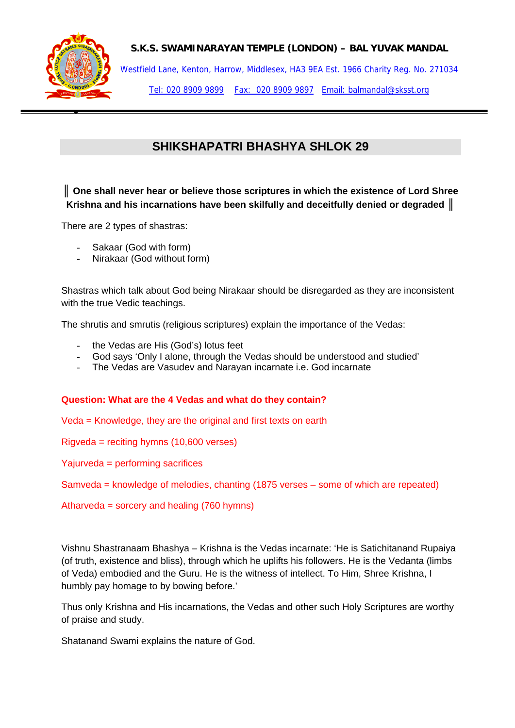

## **S.K.S. SWAMINARAYAN TEMPLE (LONDON) – BAL YUVAK MANDAL**

Westfield Lane, Kenton, Harrow, Middlesex, HA3 9EA Est. 1966 Charity Reg. No. 271034 Tel: 020 8909 9899 Fax: 020 8909 9897 Email: balmandal@sksst.org

# **SHIKSHAPATRI BHASHYA SHLOK 29**

*║* **One shall never hear or believe those scriptures in which the existence of Lord Shree Krishna and his incarnations have been skilfully and deceitfully denied or degraded** *║*

There are 2 types of shastras:

- Sakaar (God with form)
- Nirakaar (God without form)

Shastras which talk about God being Nirakaar should be disregarded as they are inconsistent with the true Vedic teachings.

The shrutis and smrutis (religious scriptures) explain the importance of the Vedas:

- the Vedas are His (God's) lotus feet
- God says 'Only I alone, through the Vedas should be understood and studied'
- The Vedas are Vasudev and Narayan incarnate i.e. God incarnate

### **Question: What are the 4 Vedas and what do they contain?**

Veda = Knowledge, they are the original and first texts on earth

Rigveda = reciting hymns (10,600 verses)

Yajurveda = performing sacrifices

Samveda = knowledge of melodies, chanting (1875 verses – some of which are repeated)

Atharveda = sorcery and healing (760 hymns)

Vishnu Shastranaam Bhashya – Krishna is the Vedas incarnate: 'He is Satichitanand Rupaiya (of truth, existence and bliss), through which he uplifts his followers. He is the Vedanta (limbs of Veda) embodied and the Guru. He is the witness of intellect. To Him, Shree Krishna, I humbly pay homage to by bowing before.'

Thus only Krishna and His incarnations, the Vedas and other such Holy Scriptures are worthy of praise and study.

Shatanand Swami explains the nature of God.